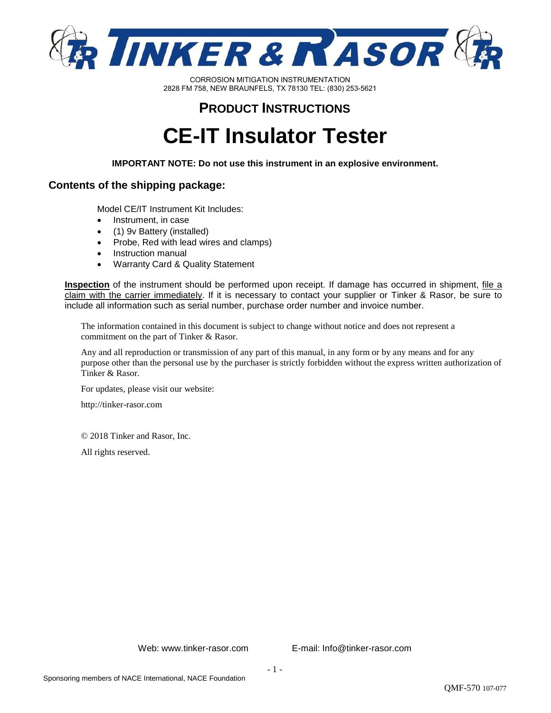

# **PRODUCT INSTRUCTIONS**

# **CE-IT Insulator Tester**

**IMPORTANT NOTE: Do not use this instrument in an explosive environment.** 

#### **Contents of the shipping package:**

Model CE/IT Instrument Kit Includes:

- Instrument, in case
- (1) 9v Battery (installed)
- Probe, Red with lead wires and clamps)
- Instruction manual
- Warranty Card & Quality Statement

**Inspection** of the instrument should be performed upon receipt. If damage has occurred in shipment, file a claim with the carrier immediately. If it is necessary to contact your supplier or Tinker & Rasor, be sure to include all information such as serial number, purchase order number and invoice number.

The information contained in this document is subject to change without notice and does not represent a commitment on the part of Tinker & Rasor.

Any and all reproduction or transmission of any part of this manual, in any form or by any means and for any purpose other than the personal use by the purchaser is strictly forbidden without the express written authorization of Tinker & Rasor.

For updates, please visit our website:

http://tinker-rasor.com

© 2018 Tinker and Rasor, Inc.

All rights reserved.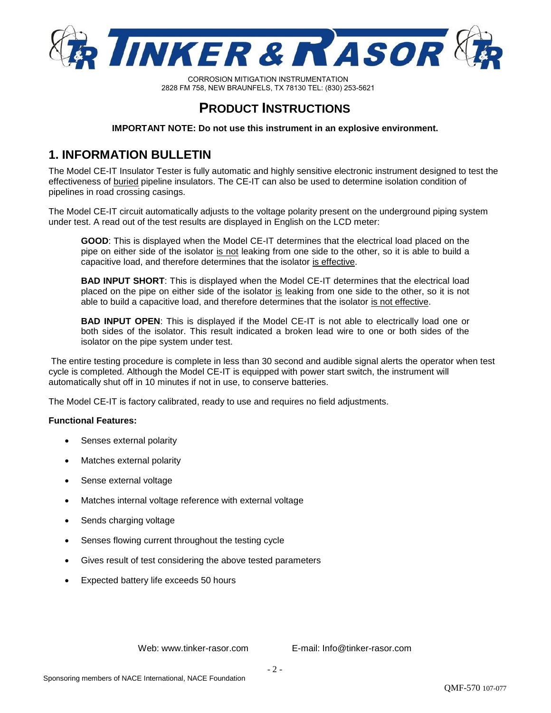

# **PRODUCT INSTRUCTIONS**

**IMPORTANT NOTE: Do not use this instrument in an explosive environment.** 

### **1. INFORMATION BULLETIN**

The Model CE-IT Insulator Tester is fully automatic and highly sensitive electronic instrument designed to test the effectiveness of buried pipeline insulators. The CE-IT can also be used to determine isolation condition of pipelines in road crossing casings.

The Model CE-IT circuit automatically adjusts to the voltage polarity present on the underground piping system under test. A read out of the test results are displayed in English on the LCD meter:

**GOOD**: This is displayed when the Model CE-IT determines that the electrical load placed on the pipe on either side of the isolator is not leaking from one side to the other, so it is able to build a capacitive load, and therefore determines that the isolator is effective.

**BAD INPUT SHORT**: This is displayed when the Model CE-IT determines that the electrical load placed on the pipe on either side of the isolator is leaking from one side to the other, so it is not able to build a capacitive load, and therefore determines that the isolator is not effective.

**BAD INPUT OPEN**: This is displayed if the Model CE-IT is not able to electrically load one or both sides of the isolator. This result indicated a broken lead wire to one or both sides of the isolator on the pipe system under test.

The entire testing procedure is complete in less than 30 second and audible signal alerts the operator when test cycle is completed. Although the Model CE-IT is equipped with power start switch, the instrument will automatically shut off in 10 minutes if not in use, to conserve batteries.

The Model CE-IT is factory calibrated, ready to use and requires no field adjustments.

#### **Functional Features:**

- Senses external polarity
- Matches external polarity
- Sense external voltage
- Matches internal voltage reference with external voltage
- Sends charging voltage
- Senses flowing current throughout the testing cycle
- Gives result of test considering the above tested parameters
- Expected battery life exceeds 50 hours

Web: www.tinker-rasor.com E-mail: Info@tinker-rasor.com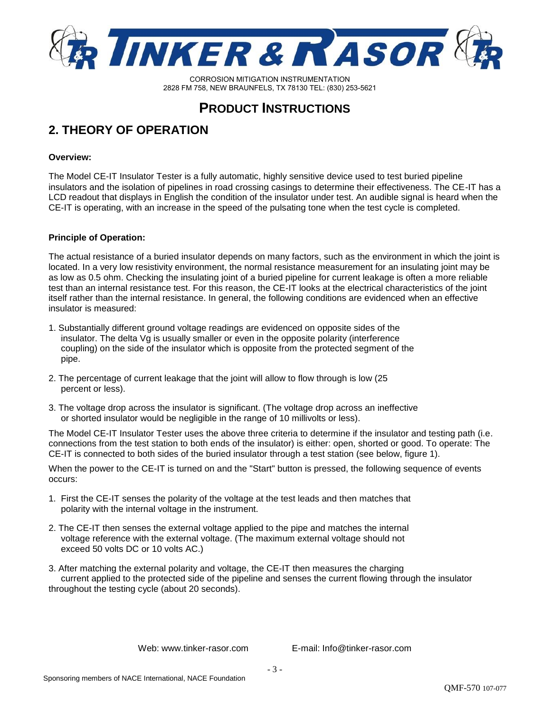

### **PRODUCT INSTRUCTIONS**

### **2. THEORY OF OPERATION**

#### **Overview:**

The Model CE-IT Insulator Tester is a fully automatic, highly sensitive device used to test buried pipeline insulators and the isolation of pipelines in road crossing casings to determine their effectiveness. The CE-IT has a LCD readout that displays in English the condition of the insulator under test. An audible signal is heard when the CE-IT is operating, with an increase in the speed of the pulsating tone when the test cycle is completed.

#### **Principle of Operation:**

The actual resistance of a buried insulator depends on many factors, such as the environment in which the joint is located. In a very low resistivity environment, the normal resistance measurement for an insulating joint may be as low as 0.5 ohm. Checking the insulating joint of a buried pipeline for current leakage is often a more reliable test than an internal resistance test. For this reason, the CE-IT looks at the electrical characteristics of the joint itself rather than the internal resistance. In general, the following conditions are evidenced when an effective insulator is measured:

- 1. Substantially different ground voltage readings are evidenced on opposite sides of the insulator. The delta Vg is usually smaller or even in the opposite polarity (interference coupling) on the side of the insulator which is opposite from the protected segment of the pipe.
- 2. The percentage of current leakage that the joint will allow to flow through is low (25 percent or less).
- 3. The voltage drop across the insulator is significant. (The voltage drop across an ineffective or shorted insulator would be negligible in the range of 10 millivolts or less).

The Model CE-IT Insulator Tester uses the above three criteria to determine if the insulator and testing path (i.e. connections from the test station to both ends of the insulator) is either: open, shorted or good. To operate: The CE-IT is connected to both sides of the buried insulator through a test station (see below, figure 1).

When the power to the CE-IT is turned on and the "Start" button is pressed, the following sequence of events occurs:

- 1. First the CE-IT senses the polarity of the voltage at the test leads and then matches that polarity with the internal voltage in the instrument.
- 2. The CE-IT then senses the external voltage applied to the pipe and matches the internal voltage reference with the external voltage. (The maximum external voltage should not exceed 50 volts DC or 10 volts AC.)
- 3. After matching the external polarity and voltage, the CE-IT then measures the charging current applied to the protected side of the pipeline and senses the current flowing through the insulator throughout the testing cycle (about 20 seconds).

Web: www.tinker-rasor.com E-mail: Info@tinker-rasor.com